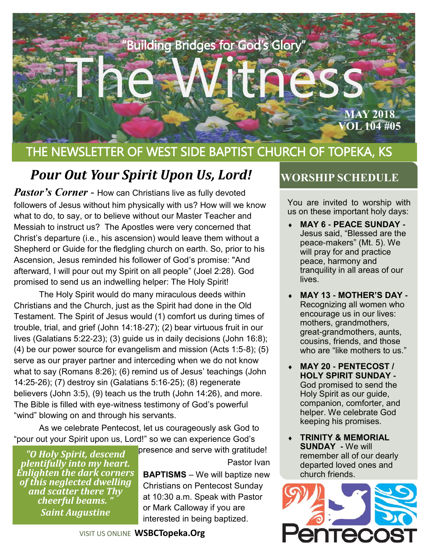

## THE NEWSLETTER OF WEST SIDE BAPTIST CHURCH OF TOPEKA, KS

## **Pour Out Your Spirit Upon Us, Lord! WORSHIP SCHEDULE**

*Pastor's Corner* - How can Christians live as fully devoted followers of Jesus without him physically with us? How will we know what to do, to say, or to believe without our Master Teacher and Messiah to instruct us? The Apostles were very concerned that Christ's departure (i.e., his ascension) would leave them without a Shepherd or Guide for the fledgling church on earth. So, prior to his Ascension, Jesus reminded his follower of God's promise: "And afterward, I will pour out my Spirit on all people" (Joel 2:28). God promised to send us an indwelling helper: The Holy Spirit!

The Holy Spirit would do many miraculous deeds within Christians and the Church, just as the Spirit had done in the Old Testament. The Spirit of Jesus would (1) comfort us during times of trouble, trial, and grief (John 14:18-27); (2) bear virtuous fruit in our lives (Galatians 5:22-23); (3) guide us in daily decisions (John 16:8); (4) be our power source for evangelism and mission (Acts 1:5-8); (5) serve as our prayer partner and interceding when we do not know what to say (Romans 8:26); (6) remind us of Jesus' teachings (John 14:25-26); (7) destroy sin (Galatians 5:16-25); (8) regenerate believers (John 3:5), (9) teach us the truth (John 14:26), and more. The Bible is filled with eye-witness testimony of God's powerful "wind" blowing on and through his servants.

As we celebrate Pentecost, let us courageously ask God to "pour out your Spirit upon us, Lord!" so we can experience God's

*"O Holy Spirit, descend plentifully into my heart. Enlighten the dark corners of this neglected dwelling and scatter there Thy cheerful beams. " Saint Augustine*

presence and serve with gratitude! Pastor Ivan

**BAPTISMS** – We will baptize new Christians on Pentecost Sunday at 10:30 a.m. Speak with Pastor or Mark Calloway if you are interested in being baptized.

You are invited to worship with us on these important holy days:

- **MAY 6 - PEACE SUNDAY -** Jesus said, "Blessed are the peace-makers" (Mt. 5). We will pray for and practice peace, harmony and tranquility in all areas of our lives.
- ◆ **MAY 13 MOTHER'S DAY -**Recognizing all women who encourage us in our lives: mothers, grandmothers, great-grandmothers, aunts, cousins, friends, and those who are "like mothers to us."
- **MAY 20 - PENTECOST / HOLY SPIRIT SUNDAY -** God promised to send the Holy Spirit as our guide, companion, comforter, and helper. We celebrate God keeping his promises.
- **TRINITY & MEMORIAL SUNDAY -** We will remember all of our dearly departed loved ones and church friends.

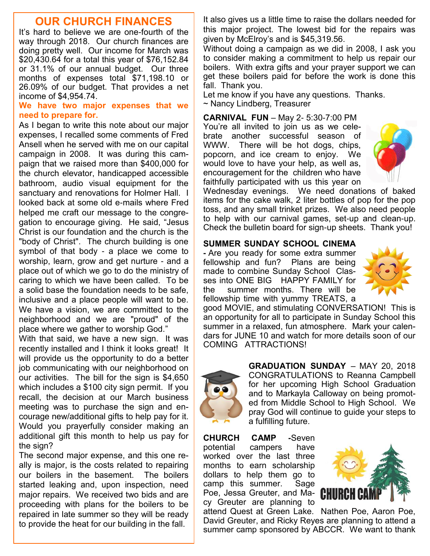#### **OUR CHURCH FINANCES**

It's hard to believe we are one-fourth of the way through 2018. Our church finances are doing pretty well. Our income for March was \$20,430.64 for a total this year of \$76,152.84 or 31.1% of our annual budget. Our three months of expenses total \$71,198.10 or 26.09% of our budget. That provides a net income of \$4,954.74.

#### **We have two major expenses that we need to prepare for.**

As I began to write this note about our major expenses, I recalled some comments of Fred Ansell when he served with me on our capital campaign in 2008. It was during this campaign that we raised more than \$400,000 for the church elevator, handicapped accessible bathroom, audio visual equipment for the sanctuary and renovations for Holmer Hall. I looked back at some old e-mails where Fred helped me craft our message to the congregation to encourage giving. He said, "Jesus Christ is our foundation and the church is the "body of Christ". The church building is one symbol of that body - a place we come to worship, learn, grow and get nurture - and a place out of which we go to do the ministry of caring to which we have been called. To be a solid base the foundation needs to be safe, inclusive and a place people will want to be. We have a vision, we are committed to the neighborhood and we are "proud" of the place where we gather to worship God."

With that said, we have a new sign. It was recently installed and I think it looks great! It will provide us the opportunity to do a better job communicating with our neighborhood on our activities. The bill for the sign is \$4,650 which includes a \$100 city sign permit. If you recall, the decision at our March business meeting was to purchase the sign and encourage new/additional gifts to help pay for it. Would you prayerfully consider making an additional gift this month to help us pay for the sign?

The second major expense, and this one really is major, is the costs related to repairing our boilers in the basement. The boilers started leaking and, upon inspection, need major repairs. We received two bids and are proceeding with plans for the boilers to be repaired in late summer so they will be ready to provide the heat for our building in the fall.

It also gives us a little time to raise the dollars needed for this major project. The lowest bid for the repairs was given by McElroy's and is \$45,319.56.

Without doing a campaign as we did in 2008, I ask you to consider making a commitment to help us repair our boilers. With extra gifts and your prayer support we can get these boilers paid for before the work is done this fall. Thank you.

Let me know if you have any questions. Thanks. ~ Nancy Lindberg, Treasurer

**CARNIVAL FUN** – May 2- 5:30-7:00 PM You're all invited to join us as we celebrate another successful season of WWW. There will be hot dogs, chips, popcorn, and ice cream to enjoy. We would love to have your help, as well as, encouragement for the children who have faithfully participated with us this year on



Wednesday evenings. We need donations of baked items for the cake walk, 2 liter bottles of pop for the pop toss, and any small trinket prizes. We also need people to help with our carnival games, set-up and clean-up. Check the bulletin board for sign-up sheets. Thank you!

#### **SUMMER SUNDAY SCHOOL CINEMA**

**-** Are you ready for some extra summer fellowship and fun? Plans are being made to combine Sunday School Classes into ONE BIG HAPPY FAMILY for the summer months. There will be fellowship time with yummy TREATS, a



good MOVIE, and stimulating CONVERSATION! This is an opportunity for all to participate in Sunday School this summer in a relaxed, fun atmosphere. Mark your calendars for JUNE 10 and watch for more details soon of our COMING ATTRACTIONS!



**GRADUATION SUNDAY** – MAY 20, 2018 CONGRATULATIONS to Reanna Campbell for her upcoming High School Graduation and to Markayla Calloway on being promoted from Middle School to High School. We pray God will continue to guide your steps to a fulfilling future.

**CHURCH CAMP -**Seven potential campers have worked over the last three months to earn scholarship dollars to help them go to camp this summer. Sage Poe, Jessa Greuter, and Macy Greuter are planning to



attend Quest at Green Lake. Nathen Poe, Aaron Poe, David Greuter, and Ricky Reyes are planning to attend a summer camp sponsored by ABCCR. We want to thank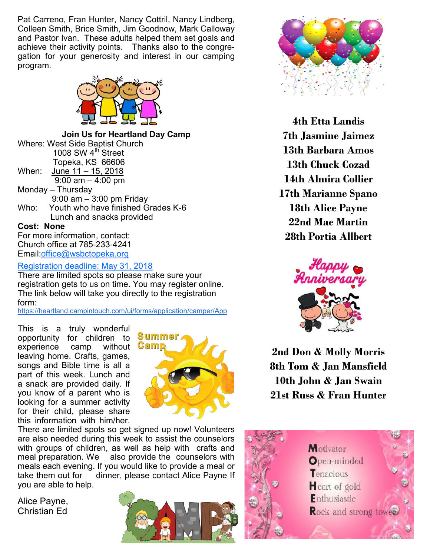Pat Carreno, Fran Hunter, Nancy Cottril, Nancy Lindberg, Colleen Smith, Brice Smith, Jim Goodnow, Mark Calloway and Pastor Ivan. These adults helped them set goals and achieve their activity points. Thanks also to the congregation for your generosity and interest in our camping program.



**Join Us for Heartland Day Camp** Where: West Side Baptist Church 1008 SW 4<sup>th</sup> Street Topeka, KS 66606 When: June 11 – 15, 2018  $9:00 \text{ am} - 4:00 \text{ pm}$ Monday – Thursday 9:00 am – 3:00 pm Friday Who: Youth who have finished Grades K-6 Lunch and snacks provided **Cost: None** For more information, contact: Church office at 785-233-4241

Email:[office@wsbctopeka.org](mailto:office@wsbctopeka.org)

Registration deadline: May 31, 2018

There are limited spots so please make sure your registration gets to us on time. You may register online. The link below will take you directly to the registration form:

<https://heartland.campintouch.com/ui/forms/application/camper/App>

This is a truly wonderful opportunity for children to experience camp without leaving home. Crafts, games, songs and Bible time is all a part of this week. Lunch and a snack are provided daily. If you know of a parent who is looking for a summer activity for their child, please share this information with him/her.



There are limited spots so get signed up now! Volunteers are also needed during this week to assist the counselors with groups of children, as well as help with crafts and meal preparation. We also provide the counselors with meals each evening. If you would like to provide a meal or take them out for a dinner, please contact Alice Payne If dinner, please contact Alice Payne If you are able to help.

Alice Payne, Christian Ed





**4th Etta Landis 7th Jasmine Jaimez 13th Barbara Amos 13th Chuck Cozad 14th Almira Collier 17th Marianne Spano 18th Alice Payne 22nd Mae Martin 28th Portia Allbert**



**2nd Don & Molly Morris 8th Tom & Jan Mansfield 10th John & Jan Swain 21st Russ & Fran Hunter**

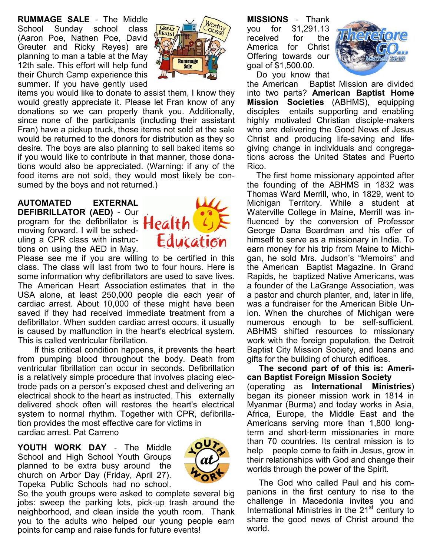**RUMMAGE SALE** - The Middle School Sunday school class (Aaron Poe, Nathen Poe, David Greuter and Ricky Reyes) are planning to man a table at the May 12th sale. This effort will help fund their Church Camp experience this summer. If you have gently used



items you would like to donate to assist them, I know they would greatly appreciate it. Please let Fran know of any donations so we can properly thank you. Additionally, since none of the participants (including their assistant Fran) have a pickup truck, those items not sold at the sale would be returned to the donors for distribution as they so desire. The boys are also planning to sell baked items so if you would like to contribute in that manner, those donations would also be appreciated. (Warning: if any of the food items are not sold, they would most likely be consumed by the boys and not returned.)

#### **AUTOMATED EXTERNAL DEFIBRILLATOR (AED)** - Our program for the defibrillator is moving forward. I will be scheduling a CPR class with instructions on using the AED in May.



Please see me if you are willing to be certified in this class. The class will last from two to four hours. Here is some information why defibrillators are used to save lives. The American Heart Association estimates that in the USA alone, at least 250,000 people die each year of cardiac arrest. About 10,000 of these might have been saved if they had received immediate treatment from a defibrillator. When sudden cardiac arrest occurs, it usually is caused by malfunction in the heart's electrical system. This is called ventricular fibrillation.

 If this critical condition happens, it prevents the heart from pumping blood throughout the body. Death from ventricular fibrillation can occur in seconds. Defibrillation is a relatively simple procedure that involves placing electrode pads on a person's exposed chest and delivering an electrical shock to the heart as instructed. This externally delivered shock often will restores the heart's electrical system to normal rhythm. Together with CPR, defibrillation provides the most effective care for victims in cardiac arrest. Pat Carreno

**YOUTH WORK DAY** - The Middle School and High School Youth Groups planned to be extra busy around the church on Arbor Day (Friday, April 27). Topeka Public Schools had no school.



So the youth groups were asked to complete several big jobs: sweep the parking lots, pick-up trash around the neighborhood, and clean inside the youth room. Thank you to the adults who helped our young people earn points for camp and raise funds for future events!

**MISSIONS** - Thank you for \$1,291.13 received for the America for Christ Offering towards our goal of \$1,500.00.



Do you know that

the American Baptist Mission are divided into two parts? **American Baptist Home Mission Societies** (ABHMS), equipping disciples entails supporting and enabling highly motivated Christian disciple-makers who are delivering the Good News of Jesus Christ and producing life-saving and lifegiving change in individuals and congregations across the United States and Puerto Rico.

 The first home missionary appointed after the founding of the ABHMS in 1832 was Thomas Ward Merrill, who, in 1829, went to Michigan Territory. While a student at Waterville College in Maine, Merrill was influenced by the conversion of Professor George Dana Boardman and his offer of himself to serve as a missionary in India. To earn money for his trip from Maine to Michigan, he sold Mrs. Judson's "Memoirs" and the American Baptist Magazine. In Grand Rapids, he baptized Native Americans, was a founder of the LaGrange Association, was a pastor and church planter, and, later in life, was a fundraiser for the American Bible Union. When the churches of Michigan were numerous enough to be self-sufficient, ABHMS shifted resources to missionary work with the foreign population, the Detroit Baptist City Mission Society, and loans and gifts for the building of church edifices.

 **The second part of of this is: American Baptist Foreign Mission Society** (operating as **International Ministries**) began its pioneer mission work in 1814 in Myanmar (Burma) and today works in Asia, Africa, Europe, the Middle East and the Americans serving more than 1,800 longterm and short-term missionaries in more than 70 countries. Its central mission is to help people come to faith in Jesus, grow in their relationships with God and change their worlds through the power of the Spirit.

 The God who called Paul and his companions in the first century to rise to the challenge in Macedonia invites you and International Ministries in the  $21<sup>st</sup>$  century to share the good news of Christ around the world.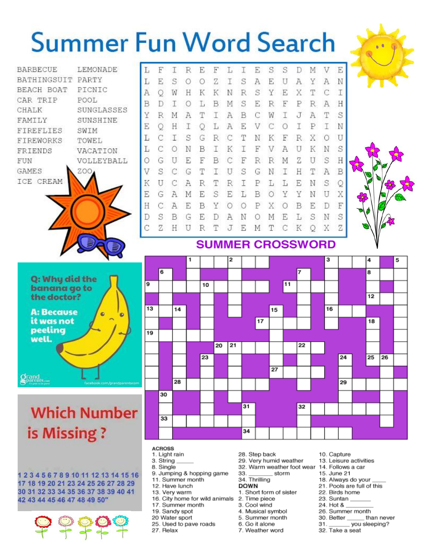# **Summer Fun Word Search**









### **SUMMER CROSSWORD**



Q: Why did the banana go to the doctor? **A: Because** it was not peeling well.

## **Which Number** is Missing?

**Orand** 

12345678910111213141516 17 18 19 20 21 23 24 25 26 27 28 29 30 31 32 33 34 35 36 37 38 39 40 41 42 43 44 45 46 47 48 49 50"



#### **ACROSS**

- 1. Light rain
- 3. String 8. Single
- 
- 9. Jumping & hopping game 11. Summer month
- 12. Have lunch
- 13. Very warm
- 16. City home for wild animals
- 17. Summer month
- 19. Sandy spot
- 20 Water sport
- 25. Used to pave roads
- 27. Relax
- 28. Step back
- 29. Very humid weather
- 32. Warm weather foot wear 33. storm
- 34. Thrilling

#### **DOWN**

- 1. Short form of sister
- 2. Time piece
- 3. Cool wind
- Musical symbol 4.
- 5. Summer month
- 6. Go it alone
- 7. Weather word
- 10. Capture
- 13. Leisure activities
- 14. Follows a car
- 15. June 21
- 18. Always do your
- 21. Pools are full of this
- 22. Birds home
- 23. Suntan
- 24. Hot & 26. Summer month
- 30. Better
- than never  $31.$ \_ you sleeping?
- 32. Take a seat